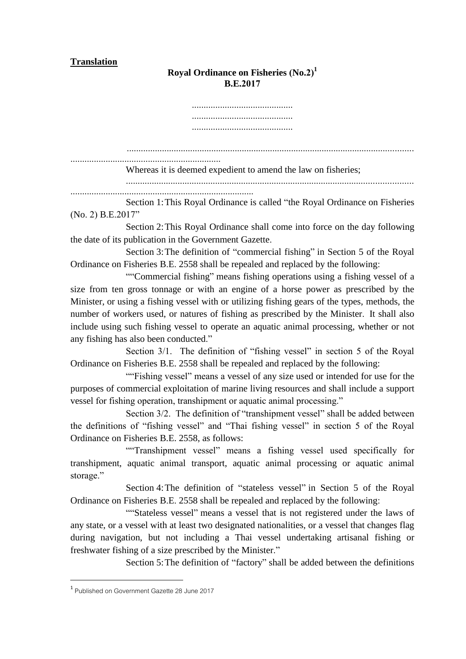## **Translation**

## **Royal Ordinance on Fisheries (No.2) 1 B.E.2017**

........................................... ........................................... ...........................................

.......................................................................................................................... ................................................................

Whereas it is deemed expedient to amend the law on fisheries;

..........................................................................................................................

..............................................................................

Section 1:This Royal Ordinance is called "the Royal Ordinance on Fisheries (No. 2) B.E.2017"

Section 2:This Royal Ordinance shall come into force on the day following the date of its publication in the Government Gazette.

Section 3:The definition of "commercial fishing" in Section 5 of the Royal Ordinance on Fisheries B.E. 2558 shall be repealed and replaced by the following:

""Commercial fishing" means fishing operations using a fishing vessel of a size from ten gross tonnage or with an engine of a horse power as prescribed by the Minister, or using a fishing vessel with or utilizing fishing gears of the types, methods, the number of workers used, or natures of fishing as prescribed by the Minister. It shall also include using such fishing vessel to operate an aquatic animal processing, whether or not any fishing has also been conducted."

Section 3/1. The definition of "fishing vessel" in section 5 of the Royal Ordinance on Fisheries B.E. 2558 shall be repealed and replaced by the following:

""Fishing vessel" means a vessel of any size used or intended for use for the purposes of commercial exploitation of marine living resources and shall include a support vessel for fishing operation, transhipment or aquatic animal processing."

Section  $3/2$ . The definition of "transhipment vessel" shall be added between the definitions of "fishing vessel" and "Thai fishing vessel" in section 5 of the Royal Ordinance on Fisheries B.E. 2558, as follows:

""Transhipment vessel" means a fishing vessel used specifically for transhipment, aquatic animal transport, aquatic animal processing or aquatic animal storage."

Section 4:The definition of "stateless vessel" in Section 5 of the Royal Ordinance on Fisheries B.E. 2558 shall be repealed and replaced by the following:

""Stateless vessel" means a vessel that is not registered under the laws of any state, or a vessel with at least two designated nationalities, or a vessel that changes flag during navigation, but not including a Thai vessel undertaking artisanal fishing or freshwater fishing of a size prescribed by the Minister."

Section 5:The definition of "factory" shall be added between the definitions

1

<sup>1</sup> Published on Government Gazette 28 June 2017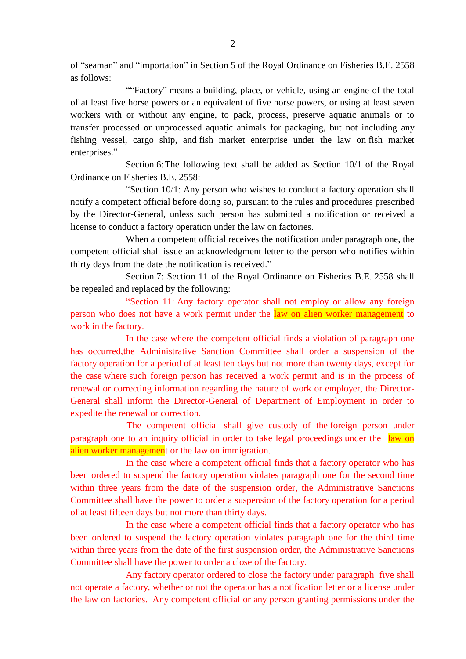of "seaman" and "importation" in Section 5 of the Royal Ordinance on Fisheries B.E. 2558 as follows:

""Factory" means a building, place, or vehicle, using an engine of the total of at least five horse powers or an equivalent of five horse powers, or using at least seven workers with or without any engine, to pack, process, preserve aquatic animals or to transfer processed or unprocessed aquatic animals for packaging, but not including any fishing vessel, cargo ship, and fish market enterprise under the law on fish market enterprises."

Section 6:The following text shall be added as Section 10/1 of the Royal Ordinance on Fisheries B.E. 2558:

"Section 10/1: Any person who wishes to conduct a factory operation shall notify a competent official before doing so, pursuant to the rules and procedures prescribed by the Director-General, unless such person has submitted a notification or received a license to conduct a factory operation under the law on factories.

When a competent official receives the notification under paragraph one, the competent official shall issue an acknowledgment letter to the person who notifies within thirty days from the date the notification is received."

Section 7: Section 11 of the Royal Ordinance on Fisheries B.E. 2558 shall be repealed and replaced by the following:

"Section 11: Any factory operator shall not employ or allow any foreign person who does not have a work permit under the law on alien worker management to work in the factory.

In the case where the competent official finds a violation of paragraph one has occurred,the Administrative Sanction Committee shall order a suspension of the factory operation for a period of at least ten days but not more than twenty days, except for the case where such foreign person has received a work permit and is in the process of renewal or correcting information regarding the nature of work or employer, the Director-General shall inform the Director-General of Department of Employment in order to expedite the renewal or correction.

The competent official shall give custody of the foreign person under paragraph one to an inquiry official in order to take legal proceedings under the law on alien worker management or the law on immigration.

In the case where a competent official finds that a factory operator who has been ordered to suspend the factory operation violates paragraph one for the second time within three years from the date of the suspension order, the Administrative Sanctions Committee shall have the power to order a suspension of the factory operation for a period of at least fifteen days but not more than thirty days.

In the case where a competent official finds that a factory operator who has been ordered to suspend the factory operation violates paragraph one for the third time within three years from the date of the first suspension order, the Administrative Sanctions Committee shall have the power to order a close of the factory.

Any factory operator ordered to close the factory under paragraph five shall not operate a factory, whether or not the operator has a notification letter or a license under the law on factories. Any competent official or any person granting permissions under the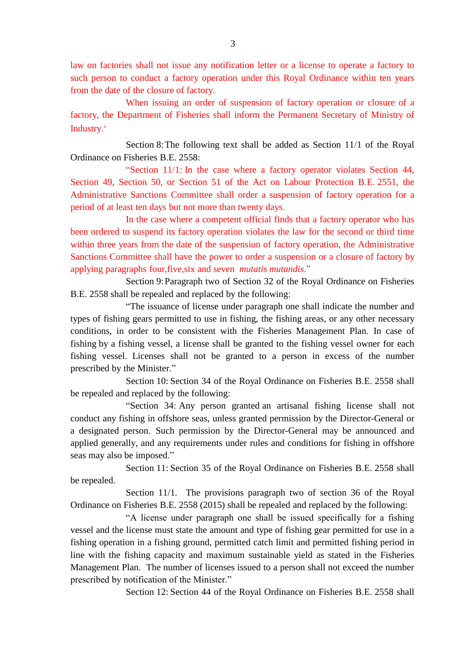law on factories shall not issue any notification letter or a license to operate a factory to such person to conduct a factory operation under this Royal Ordinance within ten years from the date of the closure of factory.

When issuing an order of suspension of factory operation or closure of a factory, the Department of Fisheries shall inform the Permanent Secretary of Ministry of Industry."

Section 8:The following text shall be added as Section 11/1 of the Royal Ordinance on Fisheries B.E. 2558:

"Section 11/1: In the case where a factory operator violates Section 44, Section 49, Section 50, or Section 51 of the Act on Labour Protection B.E. 2551, the Administrative Sanctions Committee shall order a suspension of factory operation for a period of at least ten days but not more than twenty days.

In the case where a competent official finds that a factory operator who has been ordered to suspend its factory operation violates the law for the second or third time within three years from the date of the suspension of factory operation, the Administrative Sanctions Committee shall have the power to order a suspension or a closure of factory by applying paragraphs four,five,six and seven *mutatis mutandis*."

Section 9:Paragraph two of Section 32 of the Royal Ordinance on Fisheries B.E. 2558 shall be repealed and replaced by the following:

"The issuance of license under paragraph one shall indicate the number and types of fishing gears permitted to use in fishing, the fishing areas, or any other necessary conditions, in order to be consistent with the Fisheries Management Plan. In case of fishing by a fishing vessel, a license shall be granted to the fishing vessel owner for each fishing vessel. Licenses shall not be granted to a person in excess of the number prescribed by the Minister."

Section 10: Section 34 of the Royal Ordinance on Fisheries B.E. 2558 shall be repealed and replaced by the following:

"Section 34: Any person granted an artisanal fishing license shall not conduct any fishing in offshore seas, unless granted permission by the Director-General or a designated person. Such permission by the Director-General may be announced and applied generally, and any requirements under rules and conditions for fishing in offshore seas may also be imposed."

Section 11: Section 35 of the Royal Ordinance on Fisheries B.E. 2558 shall be repealed.

Section 11/1. The provisions paragraph two of section 36 of the Royal Ordinance on Fisheries B.E. 2558 (2015) shall be repealed and replaced by the following:

"A license under paragraph one shall be issued specifically for a fishing vessel and the license must state the amount and type of fishing gear permitted for use in a fishing operation in a fishing ground, permitted catch limit and permitted fishing period in line with the fishing capacity and maximum sustainable yield as stated in the Fisheries Management Plan. The number of licenses issued to a person shall not exceed the number prescribed by notification of the Minister."

Section 12: Section 44 of the Royal Ordinance on Fisheries B.E. 2558 shall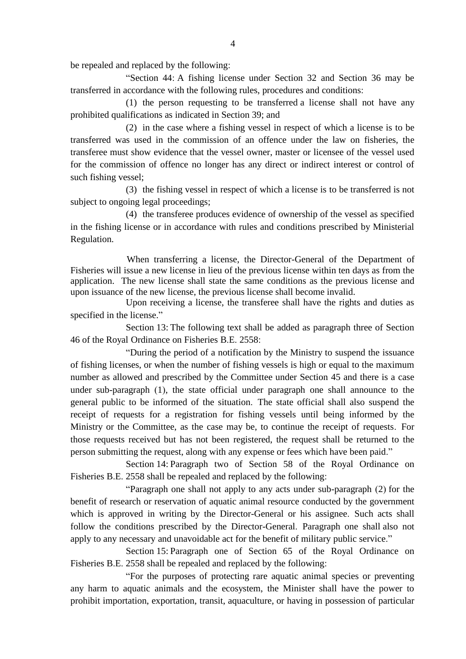be repealed and replaced by the following:

"Section 44: A fishing license under Section 32 and Section 36 may be transferred in accordance with the following rules, procedures and conditions:

(1) the person requesting to be transferred a license shall not have any prohibited qualifications as indicated in Section 39; and

(2) in the case where a fishing vessel in respect of which a license is to be transferred was used in the commission of an offence under the law on fisheries, the transferee must show evidence that the vessel owner, master or licensee of the vessel used for the commission of offence no longer has any direct or indirect interest or control of such fishing vessel;

(3) the fishing vessel in respect of which a license is to be transferred is not subject to ongoing legal proceedings:

(4) the transferee produces evidence of ownership of the vessel as specified in the fishing license or in accordance with rules and conditions prescribed by Ministerial Regulation.

When transferring a license, the Director-General of the Department of Fisheries will issue a new license in lieu of the previous license within ten days as from the application. The new license shall state the same conditions as the previous license and upon issuance of the new license, the previous license shall become invalid.

Upon receiving a license, the transferee shall have the rights and duties as specified in the license."

Section 13: The following text shall be added as paragraph three of Section 46 of the Royal Ordinance on Fisheries B.E. 2558:

"During the period of a notification by the Ministry to suspend the issuance of fishing licenses, or when the number of fishing vessels is high or equal to the maximum number as allowed and prescribed by the Committee under Section 45 and there is a case under sub-paragraph (1), the state official under paragraph one shall announce to the general public to be informed of the situation. The state official shall also suspend the receipt of requests for a registration for fishing vessels until being informed by the Ministry or the Committee, as the case may be, to continue the receipt of requests. For those requests received but has not been registered, the request shall be returned to the person submitting the request, along with any expense or fees which have been paid."

Section 14: Paragraph two of Section 58 of the Royal Ordinance on Fisheries B.E. 2558 shall be repealed and replaced by the following:

"Paragraph one shall not apply to any acts under sub-paragraph (2) for the benefit of research or reservation of aquatic animal resource conducted by the government which is approved in writing by the Director-General or his assignee. Such acts shall follow the conditions prescribed by the Director-General. Paragraph one shall also not apply to any necessary and unavoidable act for the benefit of military public service."

Section 15: Paragraph one of Section 65 of the Royal Ordinance on Fisheries B.E. 2558 shall be repealed and replaced by the following:

"For the purposes of protecting rare aquatic animal species or preventing any harm to aquatic animals and the ecosystem, the Minister shall have the power to prohibit importation, exportation, transit, aquaculture, or having in possession of particular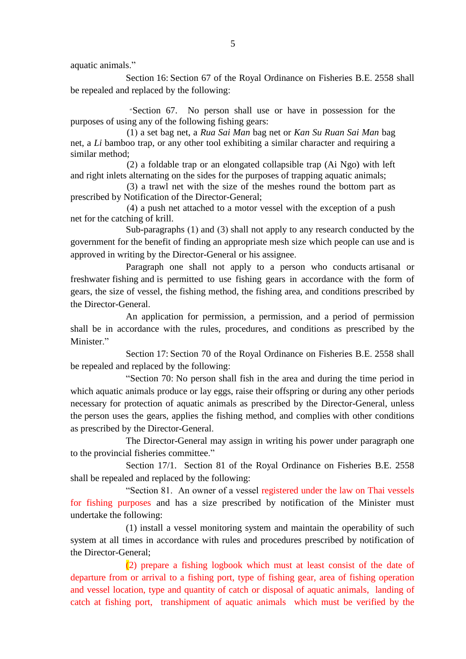aquatic animals."

Section 16: Section 67 of the Royal Ordinance on Fisheries B.E. 2558 shall be repealed and replaced by the following:

"Section 67. No person shall use or have in possession for the purposes of using any of the following fishing gears:

(1) a set bag net, a *Rua Sai Man* bag net or *Kan Su Ruan Sai Man* bag net, a *Li* bamboo trap, or any other tool exhibiting a similar character and requiring a similar method;

(2) a foldable trap or an elongated collapsible trap (Ai Ngo) with left and right inlets alternating on the sides for the purposes of trapping aquatic animals;

(3) a trawl net with the size of the meshes round the bottom part as prescribed by Notification of the Director-General;

(4) a push net attached to a motor vessel with the exception of a push net for the catching of krill.

Sub-paragraphs (1) and (3) shall not apply to any research conducted by the government for the benefit of finding an appropriate mesh size which people can use and is approved in writing by the Director-General or his assignee.

Paragraph one shall not apply to a person who conducts artisanal or freshwater fishing and is permitted to use fishing gears in accordance with the form of gears, the size of vessel, the fishing method, the fishing area, and conditions prescribed by the Director-General.

An application for permission, a permission, and a period of permission shall be in accordance with the rules, procedures, and conditions as prescribed by the Minister<sup>"</sup>

Section 17: Section 70 of the Royal Ordinance on Fisheries B.E. 2558 shall be repealed and replaced by the following:

"Section 70: No person shall fish in the area and during the time period in which aquatic animals produce or lay eggs, raise their offspring or during any other periods necessary for protection of aquatic animals as prescribed by the Director-General, unless the person uses the gears, applies the fishing method, and complies with other conditions as prescribed by the Director-General.

The Director-General may assign in writing his power under paragraph one to the provincial fisheries committee."

Section 17/1. Section 81 of the Royal Ordinance on Fisheries B.E. 2558 shall be repealed and replaced by the following:

"Section 81. An owner of a vessel registered under the law on Thai vessels for fishing purposes and has a size prescribed by notification of the Minister must undertake the following:

(1) install a vessel monitoring system and maintain the operability of such system at all times in accordance with rules and procedures prescribed by notification of the Director-General;

(2) prepare a fishing logbook which must at least consist of the date of departure from or arrival to a fishing port, type of fishing gear, area of fishing operation and vessel location, type and quantity of catch or disposal of aquatic animals, landing of catch at fishing port, transhipment of aquatic animals which must be verified by the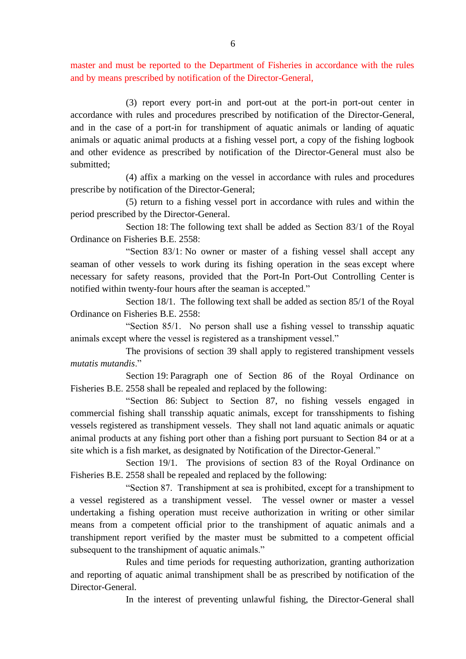master and must be reported to the Department of Fisheries in accordance with the rules and by means prescribed by notification of the Director-General,

(3) report every port-in and port-out at the port-in port-out center in accordance with rules and procedures prescribed by notification of the Director-General, and in the case of a port-in for transhipment of aquatic animals or landing of aquatic animals or aquatic animal products at a fishing vessel port, a copy of the fishing logbook and other evidence as prescribed by notification of the Director-General must also be submitted;

(4) affix a marking on the vessel in accordance with rules and procedures prescribe by notification of the Director-General;

(5) return to a fishing vessel port in accordance with rules and within the period prescribed by the Director-General.

Section 18: The following text shall be added as Section 83/1 of the Royal Ordinance on Fisheries B.E. 2558:

"Section 83/1: No owner or master of a fishing vessel shall accept any seaman of other vessels to work during its fishing operation in the seas except where necessary for safety reasons, provided that the Port-In Port-Out Controlling Center is notified within twenty-four hours after the seaman is accepted."

Section 18/1. The following text shall be added as section 85/1 of the Royal Ordinance on Fisheries B.E. 2558:

"Section 85/1. No person shall use a fishing vessel to transship aquatic animals except where the vessel is registered as a transhipment vessel."

The provisions of section 39 shall apply to registered transhipment vessels *mutatis mutandis*."

Section 19: Paragraph one of Section 86 of the Royal Ordinance on Fisheries B.E. 2558 shall be repealed and replaced by the following:

"Section 86: Subject to Section 87, no fishing vessels engaged in commercial fishing shall transship aquatic animals, except for transshipments to fishing vessels registered as transhipment vessels. They shall not land aquatic animals or aquatic animal products at any fishing port other than a fishing port pursuant to Section 84 or at a site which is a fish market, as designated by Notification of the Director-General."

Section 19/1. The provisions of section 83 of the Royal Ordinance on Fisheries B.E. 2558 shall be repealed and replaced by the following:

"Section 87. Transhipment at sea is prohibited, except for a transhipment to a vessel registered as a transhipment vessel. The vessel owner or master a vessel undertaking a fishing operation must receive authorization in writing or other similar means from a competent official prior to the transhipment of aquatic animals and a transhipment report verified by the master must be submitted to a competent official subsequent to the transhipment of aquatic animals."

Rules and time periods for requesting authorization, granting authorization and reporting of aquatic animal transhipment shall be as prescribed by notification of the Director-General.

In the interest of preventing unlawful fishing, the Director-General shall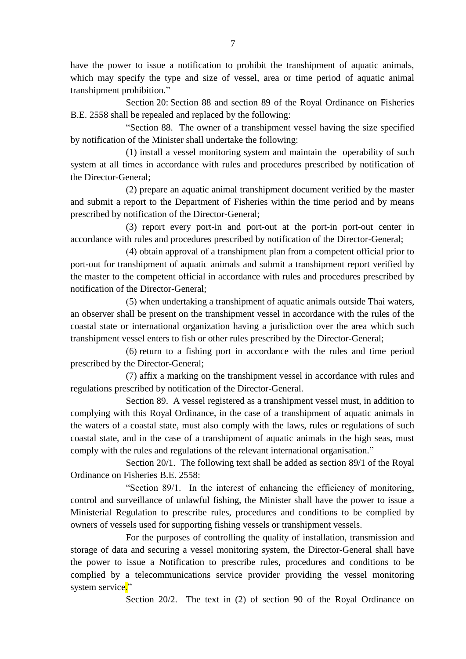have the power to issue a notification to prohibit the transhipment of aquatic animals, which may specify the type and size of vessel, area or time period of aquatic animal transhipment prohibition."

Section 20: Section 88 and section 89 of the Royal Ordinance on Fisheries B.E. 2558 shall be repealed and replaced by the following:

"Section 88. The owner of a transhipment vessel having the size specified by notification of the Minister shall undertake the following:

(1) install a vessel monitoring system and maintain the operability of such system at all times in accordance with rules and procedures prescribed by notification of the Director-General;

(2) prepare an aquatic animal transhipment document verified by the master and submit a report to the Department of Fisheries within the time period and by means prescribed by notification of the Director-General;

(3) report every port-in and port-out at the port-in port-out center in accordance with rules and procedures prescribed by notification of the Director-General;

(4) obtain approval of a transhipment plan from a competent official prior to port-out for transhipment of aquatic animals and submit a transhipment report verified by the master to the competent official in accordance with rules and procedures prescribed by notification of the Director-General;

(5) when undertaking a transhipment of aquatic animals outside Thai waters, an observer shall be present on the transhipment vessel in accordance with the rules of the coastal state or international organization having a jurisdiction over the area which such transhipment vessel enters to fish or other rules prescribed by the Director-General;

(6) return to a fishing port in accordance with the rules and time period prescribed by the Director-General;

(7) affix a marking on the transhipment vessel in accordance with rules and regulations prescribed by notification of the Director-General.

Section 89. A vessel registered as a transhipment vessel must, in addition to complying with this Royal Ordinance, in the case of a transhipment of aquatic animals in the waters of a coastal state, must also comply with the laws, rules or regulations of such coastal state, and in the case of a transhipment of aquatic animals in the high seas, must comply with the rules and regulations of the relevant international organisation."

Section 20/1. The following text shall be added as section 89/1 of the Royal Ordinance on Fisheries B.E. 2558:

"Section 89/1. In the interest of enhancing the efficiency of monitoring, control and surveillance of unlawful fishing, the Minister shall have the power to issue a Ministerial Regulation to prescribe rules, procedures and conditions to be complied by owners of vessels used for supporting fishing vessels or transhipment vessels.

For the purposes of controlling the quality of installation, transmission and storage of data and securing a vessel monitoring system, the Director-General shall have the power to issue a Notification to prescribe rules, procedures and conditions to be complied by a telecommunications service provider providing the vessel monitoring system service."

Section 20/2. The text in (2) of section 90 of the Royal Ordinance on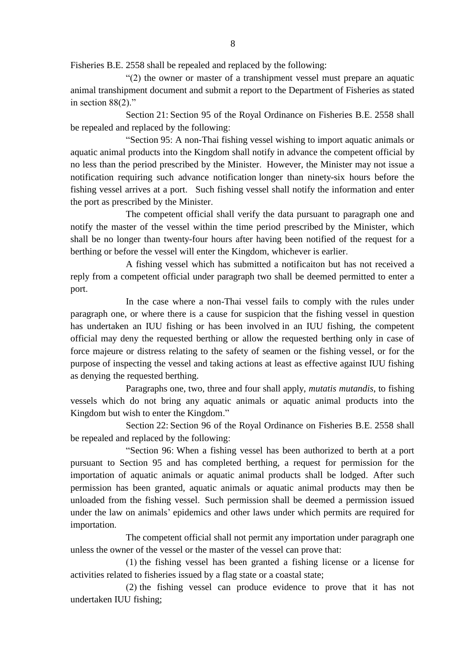Fisheries B.E. 2558 shall be repealed and replaced by the following:

"(2) the owner or master of a transhipment vessel must prepare an aquatic animal transhipment document and submit a report to the Department of Fisheries as stated in section 88(2)."

Section 21: Section 95 of the Royal Ordinance on Fisheries B.E. 2558 shall be repealed and replaced by the following:

"Section 95: A non-Thai fishing vessel wishing to import aquatic animals or aquatic animal products into the Kingdom shall notify in advance the competent official by no less than the period prescribed by the Minister. However, the Minister may not issue a notification requiring such advance notification longer than ninety-six hours before the fishing vessel arrives at a port. Such fishing vessel shall notify the information and enter the port as prescribed by the Minister.

The competent official shall verify the data pursuant to paragraph one and notify the master of the vessel within the time period prescribed by the Minister, which shall be no longer than twenty-four hours after having been notified of the request for a berthing or before the vessel will enter the Kingdom, whichever is earlier.

A fishing vessel which has submitted a notificaiton but has not received a reply from a competent official under paragraph two shall be deemed permitted to enter a port.

In the case where a non-Thai vessel fails to comply with the rules under paragraph one, or where there is a cause for suspicion that the fishing vessel in question has undertaken an IUU fishing or has been involved in an IUU fishing, the competent official may deny the requested berthing or allow the requested berthing only in case of force majeure or distress relating to the safety of seamen or the fishing vessel, or for the purpose of inspecting the vessel and taking actions at least as effective against IUU fishing as denying the requested berthing.

Paragraphs one, two, three and four shall apply, *mutatis mutandis*, to fishing vessels which do not bring any aquatic animals or aquatic animal products into the Kingdom but wish to enter the Kingdom."

Section 22: Section 96 of the Royal Ordinance on Fisheries B.E. 2558 shall be repealed and replaced by the following:

"Section 96: When a fishing vessel has been authorized to berth at a port pursuant to Section 95 and has completed berthing, a request for permission for the importation of aquatic animals or aquatic animal products shall be lodged. After such permission has been granted, aquatic animals or aquatic animal products may then be unloaded from the fishing vessel. Such permission shall be deemed a permission issued under the law on animals' epidemics and other laws under which permits are required for importation.

The competent official shall not permit any importation under paragraph one unless the owner of the vessel or the master of the vessel can prove that:

(1) the fishing vessel has been granted a fishing license or a license for activities related to fisheries issued by a flag state or a coastal state;

(2) the fishing vessel can produce evidence to prove that it has not undertaken IUU fishing;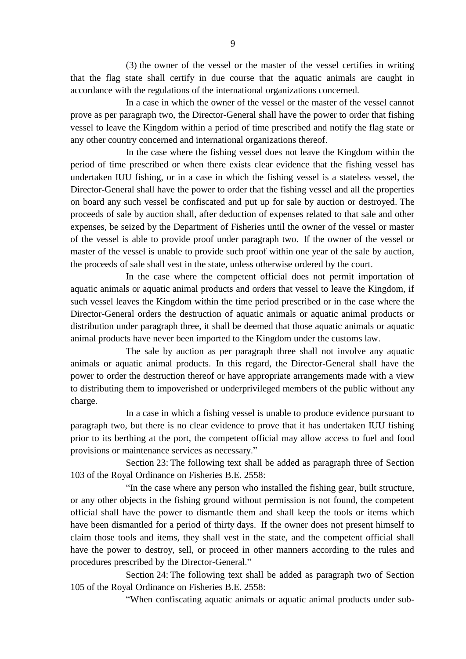(3) the owner of the vessel or the master of the vessel certifies in writing that the flag state shall certify in due course that the aquatic animals are caught in accordance with the regulations of the international organizations concerned.

In a case in which the owner of the vessel or the master of the vessel cannot prove as per paragraph two, the Director-General shall have the power to order that fishing vessel to leave the Kingdom within a period of time prescribed and notify the flag state or any other country concerned and international organizations thereof.

In the case where the fishing vessel does not leave the Kingdom within the period of time prescribed or when there exists clear evidence that the fishing vessel has undertaken IUU fishing, or in a case in which the fishing vessel is a stateless vessel, the Director-General shall have the power to order that the fishing vessel and all the properties on board any such vessel be confiscated and put up for sale by auction or destroyed. The proceeds of sale by auction shall, after deduction of expenses related to that sale and other expenses, be seized by the Department of Fisheries until the owner of the vessel or master of the vessel is able to provide proof under paragraph two. If the owner of the vessel or master of the vessel is unable to provide such proof within one year of the sale by auction, the proceeds of sale shall vest in the state, unless otherwise ordered by the court.

In the case where the competent official does not permit importation of aquatic animals or aquatic animal products and orders that vessel to leave the Kingdom, if such vessel leaves the Kingdom within the time period prescribed or in the case where the Director-General orders the destruction of aquatic animals or aquatic animal products or distribution under paragraph three, it shall be deemed that those aquatic animals or aquatic animal products have never been imported to the Kingdom under the customs law.

The sale by auction as per paragraph three shall not involve any aquatic animals or aquatic animal products. In this regard, the Director-General shall have the power to order the destruction thereof or have appropriate arrangements made with a view to distributing them to impoverished or underprivileged members of the public without any charge.

In a case in which a fishing vessel is unable to produce evidence pursuant to paragraph two, but there is no clear evidence to prove that it has undertaken IUU fishing prior to its berthing at the port, the competent official may allow access to fuel and food provisions or maintenance services as necessary."

Section 23: The following text shall be added as paragraph three of Section 103 of the Royal Ordinance on Fisheries B.E. 2558:

"In the case where any person who installed the fishing gear, built structure, or any other objects in the fishing ground without permission is not found, the competent official shall have the power to dismantle them and shall keep the tools or items which have been dismantled for a period of thirty days. If the owner does not present himself to claim those tools and items, they shall vest in the state, and the competent official shall have the power to destroy, sell, or proceed in other manners according to the rules and procedures prescribed by the Director-General."

Section 24: The following text shall be added as paragraph two of Section 105 of the Royal Ordinance on Fisheries B.E. 2558:

"When confiscating aquatic animals or aquatic animal products under sub-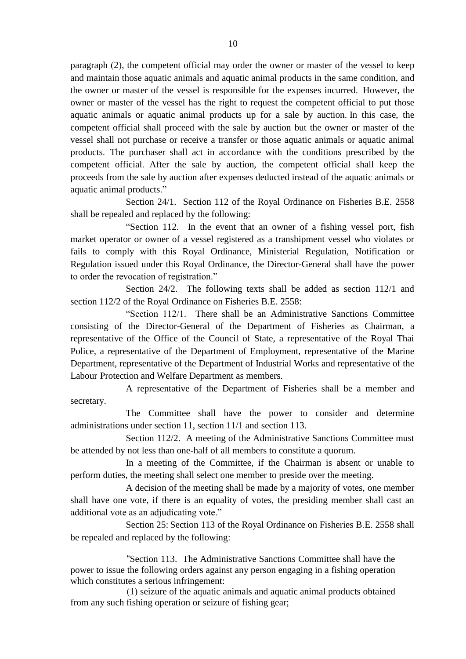paragraph (2), the competent official may order the owner or master of the vessel to keep and maintain those aquatic animals and aquatic animal products in the same condition, and the owner or master of the vessel is responsible for the expenses incurred. However, the owner or master of the vessel has the right to request the competent official to put those aquatic animals or aquatic animal products up for a sale by auction. In this case, the competent official shall proceed with the sale by auction but the owner or master of the vessel shall not purchase or receive a transfer or those aquatic animals or aquatic animal products. The purchaser shall act in accordance with the conditions prescribed by the competent official. After the sale by auction, the competent official shall keep the proceeds from the sale by auction after expenses deducted instead of the aquatic animals or aquatic animal products."

Section 24/1. Section 112 of the Royal Ordinance on Fisheries B.E. 2558 shall be repealed and replaced by the following:

"Section 112. In the event that an owner of a fishing vessel port, fish market operator or owner of a vessel registered as a transhipment vessel who violates or fails to comply with this Royal Ordinance, Ministerial Regulation, Notification or Regulation issued under this Royal Ordinance, the Director-General shall have the power to order the revocation of registration."

Section 24/2. The following texts shall be added as section 112/1 and section 112/2 of the Royal Ordinance on Fisheries B.E. 2558:

"Section 112/1. There shall be an Administrative Sanctions Committee consisting of the Director-General of the Department of Fisheries as Chairman, a representative of the Office of the Council of State, a representative of the Royal Thai Police, a representative of the Department of Employment, representative of the Marine Department, representative of the Department of Industrial Works and representative of the Labour Protection and Welfare Department as members.

A representative of the Department of Fisheries shall be a member and secretary.

The Committee shall have the power to consider and determine administrations under section 11, section 11/1 and section 113.

Section 112/2. A meeting of the Administrative Sanctions Committee must be attended by not less than one-half of all members to constitute a quorum.

In a meeting of the Committee, if the Chairman is absent or unable to perform duties, the meeting shall select one member to preside over the meeting.

A decision of the meeting shall be made by a majority of votes, one member shall have one vote, if there is an equality of votes, the presiding member shall cast an additional vote as an adjudicating vote."

Section 25: Section 113 of the Royal Ordinance on Fisheries B.E. 2558 shall be repealed and replaced by the following:

"Section 113. The Administrative Sanctions Committee shall have the power to issue the following orders against any person engaging in a fishing operation which constitutes a serious infringement:

(1) seizure of the aquatic animals and aquatic animal products obtained from any such fishing operation or seizure of fishing gear;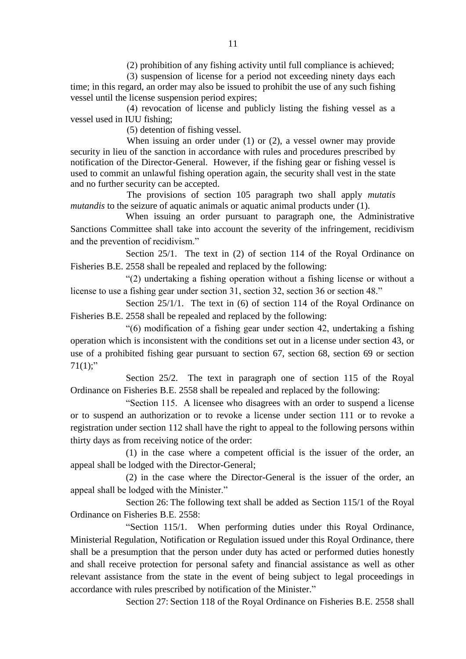(2) prohibition of any fishing activity until full compliance is achieved;

(3) suspension of license for a period not exceeding ninety days each time; in this regard, an order may also be issued to prohibit the use of any such fishing vessel until the license suspension period expires;

(4) revocation of license and publicly listing the fishing vessel as a vessel used in IUU fishing;

(5) detention of fishing vessel.

When issuing an order under (1) or (2), a vessel owner may provide security in lieu of the sanction in accordance with rules and procedures prescribed by notification of the Director-General. However, if the fishing gear or fishing vessel is used to commit an unlawful fishing operation again, the security shall vest in the state and no further security can be accepted.

The provisions of section 105 paragraph two shall apply *mutatis mutandis* to the seizure of aquatic animals or aquatic animal products under (1).

When issuing an order pursuant to paragraph one, the Administrative Sanctions Committee shall take into account the severity of the infringement, recidivism and the prevention of recidivism."

Section 25/1. The text in (2) of section 114 of the Royal Ordinance on Fisheries B.E. 2558 shall be repealed and replaced by the following:

"(2) undertaking a fishing operation without a fishing license or without a license to use a fishing gear under section 31, section 32, section 36 or section 48."

Section 25/1/1. The text in (6) of section 114 of the Royal Ordinance on Fisheries B.E. 2558 shall be repealed and replaced by the following:

"(6) modification of a fishing gear under section 42, undertaking a fishing operation which is inconsistent with the conditions set out in a license under section 43, or use of a prohibited fishing gear pursuant to section 67, section 68, section 69 or section  $71(1)$ ;"

Section 25/2. The text in paragraph one of section 115 of the Royal Ordinance on Fisheries B.E. 2558 shall be repealed and replaced by the following:

"Section 115. A licensee who disagrees with an order to suspend a license or to suspend an authorization or to revoke a license under section 111 or to revoke a registration under section 112 shall have the right to appeal to the following persons within thirty days as from receiving notice of the order:

(1) in the case where a competent official is the issuer of the order, an appeal shall be lodged with the Director-General;

(2) in the case where the Director-General is the issuer of the order, an appeal shall be lodged with the Minister."

Section 26: The following text shall be added as Section 115/1 of the Royal Ordinance on Fisheries B E 2558:

"Section 115/1. When performing duties under this Royal Ordinance, Ministerial Regulation, Notification or Regulation issued under this Royal Ordinance, there shall be a presumption that the person under duty has acted or performed duties honestly and shall receive protection for personal safety and financial assistance as well as other relevant assistance from the state in the event of being subject to legal proceedings in accordance with rules prescribed by notification of the Minister."

Section 27: Section 118 of the Royal Ordinance on Fisheries B.E. 2558 shall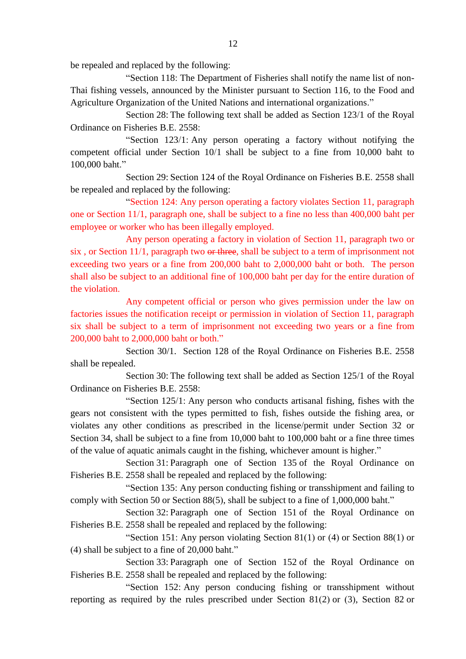be repealed and replaced by the following:

"Section 118: The Department of Fisheries shall notify the name list of non-Thai fishing vessels, announced by the Minister pursuant to Section 116, to the Food and Agriculture Organization of the United Nations and international organizations."

Section 28: The following text shall be added as Section 123/1 of the Royal Ordinance on Fisheries B.E. 2558:

"Section 123/1: Any person operating a factory without notifying the competent official under Section 10/1 shall be subject to a fine from 10,000 baht to 100,000 baht."

Section 29: Section 124 of the Royal Ordinance on Fisheries B.E. 2558 shall be repealed and replaced by the following:

"Section 124: Any person operating a factory violates Section 11, paragraph one or Section 11/1, paragraph one, shall be subject to a fine no less than 400,000 baht per employee or worker who has been illegally employed.

Any person operating a factory in violation of Section 11, paragraph two or six, or Section 11/1, paragraph two or three, shall be subject to a term of imprisonment not exceeding two years or a fine from 200,000 baht to 2,000,000 baht or both. The person shall also be subject to an additional fine of 100,000 baht per day for the entire duration of the violation.

Any competent official or person who gives permission under the law on factories issues the notification receipt or permission in violation of Section 11, paragraph six shall be subject to a term of imprisonment not exceeding two years or a fine from 200,000 baht to 2,000,000 baht or both."

Section 30/1. Section 128 of the Royal Ordinance on Fisheries B.E. 2558 shall be repealed.

Section 30: The following text shall be added as Section 125/1 of the Royal Ordinance on Fisheries B.E. 2558:

"Section 125/1: Any person who conducts artisanal fishing, fishes with the gears not consistent with the types permitted to fish, fishes outside the fishing area, or violates any other conditions as prescribed in the license/permit under Section 32 or Section 34, shall be subject to a fine from 10,000 baht to 100,000 baht or a fine three times of the value of aquatic animals caught in the fishing, whichever amount is higher."

Section 31: Paragraph one of Section 135 of the Royal Ordinance on Fisheries B.E. 2558 shall be repealed and replaced by the following:

"Section 135: Any person conducting fishing or transshipment and failing to comply with Section 50 or Section 88(5), shall be subject to a fine of 1,000,000 baht."

Section 32: Paragraph one of Section 151 of the Royal Ordinance on Fisheries B.E. 2558 shall be repealed and replaced by the following:

"Section 151: Any person violating Section 81(1) or  $(4)$  or Section 88(1) or (4) shall be subject to a fine of 20,000 baht."

Section 33: Paragraph one of Section 152 of the Royal Ordinance on Fisheries B.E. 2558 shall be repealed and replaced by the following:

"Section 152: Any person conducing fishing or transshipment without reporting as required by the rules prescribed under Section 81(2) or (3), Section 82 or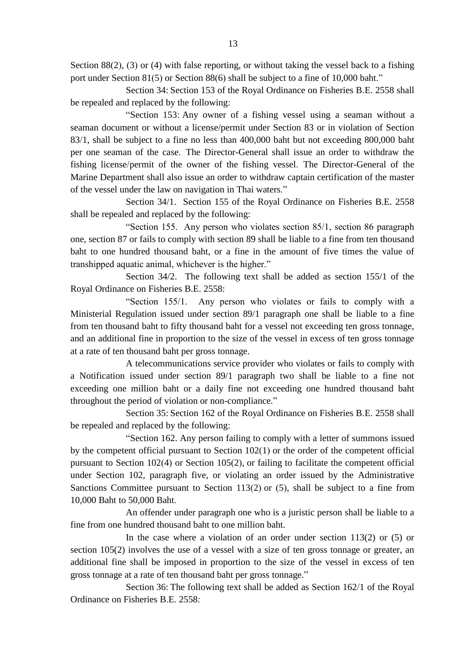Section 88(2), (3) or (4) with false reporting, or without taking the vessel back to a fishing port under Section 81(5) or Section 88(6) shall be subject to a fine of 10,000 baht."

Section 34: Section 153 of the Royal Ordinance on Fisheries B.E. 2558 shall be repealed and replaced by the following:

"Section 153: Any owner of a fishing vessel using a seaman without a seaman document or without a license/permit under Section 83 or in violation of Section 83/1, shall be subject to a fine no less than 400,000 baht but not exceeding 800,000 baht per one seaman of the case. The Director-General shall issue an order to withdraw the fishing license/permit of the owner of the fishing vessel. The Director-General of the Marine Department shall also issue an order to withdraw captain certification of the master of the vessel under the law on navigation in Thai waters."

Section 34/1. Section 155 of the Royal Ordinance on Fisheries B.E. 2558 shall be repealed and replaced by the following:

"Section 155. Any person who violates section 85/1, section 86 paragraph one, section 87 or fails to comply with section 89 shall be liable to a fine from ten thousand baht to one hundred thousand baht, or a fine in the amount of five times the value of transhipped aquatic animal, whichever is the higher."

Section 34/2. The following text shall be added as section 155/1 of the Royal Ordinance on Fisheries B.E. 2558:

"Section 155/1. Any person who violates or fails to comply with a Ministerial Regulation issued under section 89/1 paragraph one shall be liable to a fine from ten thousand baht to fifty thousand baht for a vessel not exceeding ten gross tonnage, and an additional fine in proportion to the size of the vessel in excess of ten gross tonnage at a rate of ten thousand baht per gross tonnage.

A telecommunications service provider who violates or fails to comply with a Notification issued under section 89/1 paragraph two shall be liable to a fine not exceeding one million baht or a daily fine not exceeding one hundred thousand baht throughout the period of violation or non-compliance."

Section 35: Section 162 of the Royal Ordinance on Fisheries B.E. 2558 shall be repealed and replaced by the following:

"Section 162. Any person failing to comply with a letter of summons issued by the competent official pursuant to Section 102(1) or the order of the competent official pursuant to Section 102(4) or Section 105(2), or failing to facilitate the competent official under Section 102, paragraph five, or violating an order issued by the Administrative Sanctions Committee pursuant to Section 113(2) or (5), shall be subject to a fine from 10,000 Baht to 50,000 Baht.

An offender under paragraph one who is a juristic person shall be liable to a fine from one hundred thousand baht to one million baht.

In the case where a violation of an order under section  $113(2)$  or  $(5)$  or section 105(2) involves the use of a vessel with a size of ten gross tonnage or greater, an additional fine shall be imposed in proportion to the size of the vessel in excess of ten gross tonnage at a rate of ten thousand baht per gross tonnage."

Section 36: The following text shall be added as Section 162/1 of the Royal Ordinance on Fisheries B.E. 2558: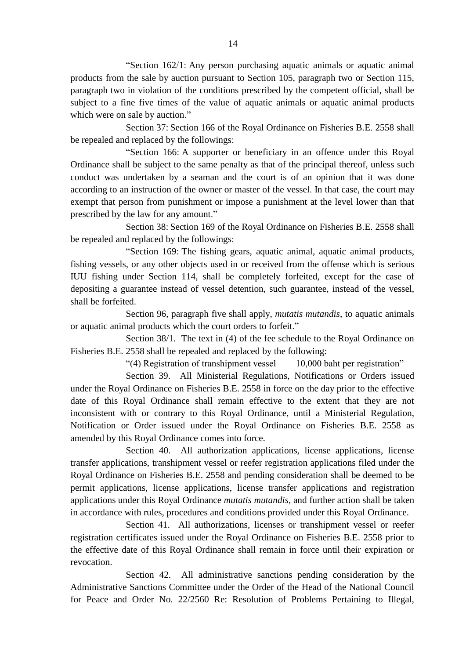"Section 162/1: Any person purchasing aquatic animals or aquatic animal products from the sale by auction pursuant to Section 105, paragraph two or Section 115, paragraph two in violation of the conditions prescribed by the competent official, shall be subject to a fine five times of the value of aquatic animals or aquatic animal products which were on sale by auction."

Section 37: Section 166 of the Royal Ordinance on Fisheries B.E. 2558 shall be repealed and replaced by the followings:

"Section 166: A supporter or beneficiary in an offence under this Royal Ordinance shall be subject to the same penalty as that of the principal thereof, unless such conduct was undertaken by a seaman and the court is of an opinion that it was done according to an instruction of the owner or master of the vessel. In that case, the court may exempt that person from punishment or impose a punishment at the level lower than that prescribed by the law for any amount."

Section 38: Section 169 of the Royal Ordinance on Fisheries B.E. 2558 shall be repealed and replaced by the followings:

"Section 169: The fishing gears, aquatic animal, aquatic animal products, fishing vessels, or any other objects used in or received from the offense which is serious IUU fishing under Section 114, shall be completely forfeited, except for the case of depositing a guarantee instead of vessel detention, such guarantee, instead of the vessel, shall be forfeited.

Section 96, paragraph five shall apply, *mutatis mutandis*, to aquatic animals or aquatic animal products which the court orders to forfeit."

Section 38/1. The text in (4) of the fee schedule to the Royal Ordinance on Fisheries B.E. 2558 shall be repealed and replaced by the following:

"(4) Registration of transhipment vessel 10,000 baht per registration"

Section 39. All Ministerial Regulations, Notifications or Orders issued under the Royal Ordinance on Fisheries B.E. 2558 in force on the day prior to the effective date of this Royal Ordinance shall remain effective to the extent that they are not inconsistent with or contrary to this Royal Ordinance, until a Ministerial Regulation, Notification or Order issued under the Royal Ordinance on Fisheries B.E. 2558 as amended by this Royal Ordinance comes into force.

Section 40. All authorization applications, license applications, license transfer applications, transhipment vessel or reefer registration applications filed under the Royal Ordinance on Fisheries B.E. 2558 and pending consideration shall be deemed to be permit applications, license applications, license transfer applications and registration applications under this Royal Ordinance *mutatis mutandis*, and further action shall be taken in accordance with rules, procedures and conditions provided under this Royal Ordinance.

Section 41. All authorizations, licenses or transhipment vessel or reefer registration certificates issued under the Royal Ordinance on Fisheries B.E. 2558 prior to the effective date of this Royal Ordinance shall remain in force until their expiration or revocation.

Section 42. All administrative sanctions pending consideration by the Administrative Sanctions Committee under the Order of the Head of the National Council for Peace and Order No. 22/2560 Re: Resolution of Problems Pertaining to Illegal,